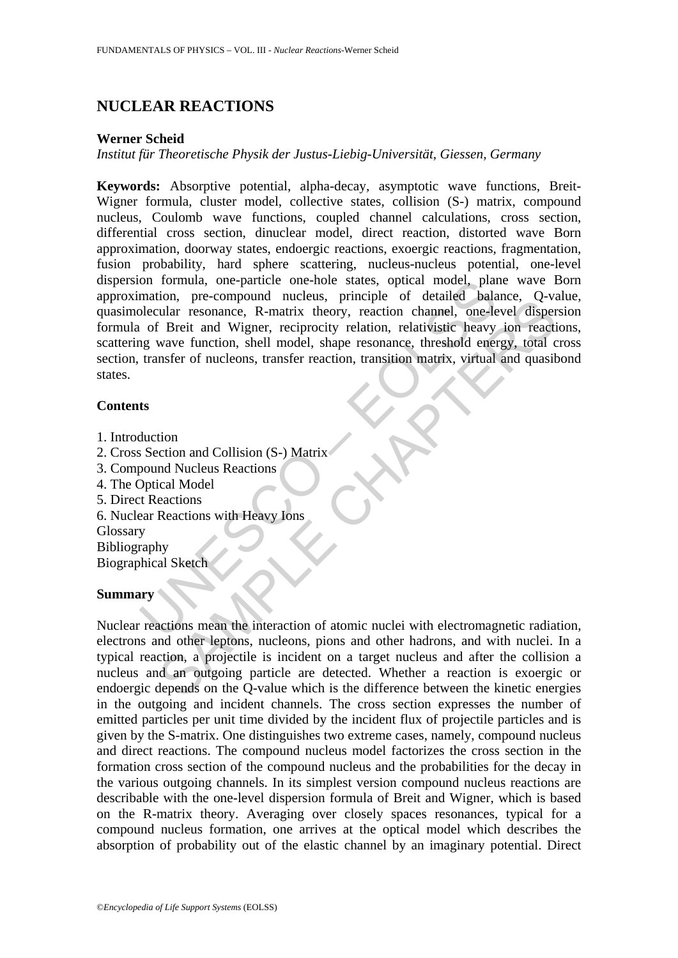# **NUCLEAR REACTIONS**

### **Werner Scheid**

### *Institut für Theoretische Physik der Justus-Liebig-Universität, Giessen, Germany*

on formula, one-particle one-hole states, optical model, plantiful bala<br>mation, pre-compound nucleus, principle of detailed balance<br>lecular resonance, R-matrix theory, reaction channel, one-le-<br>of Breit and Wigner, recipro From From From Theorem and Theorem and Theorem and Theorem and Theorem and Theorem and The Theorem and Wigner, reciprocity relation, relativistic heavy ion reactivative file There is the Shape and Wigner, reciprocity relat **Keywords:** Absorptive potential, alpha-decay, asymptotic wave functions, Breit-Wigner formula, cluster model, collective states, collision (S-) matrix, compound nucleus, Coulomb wave functions, coupled channel calculations, cross section, differential cross section, dinuclear model, direct reaction, distorted wave Born approximation, doorway states, endoergic reactions, exoergic reactions, fragmentation, fusion probability, hard sphere scattering, nucleus-nucleus potential, one-level dispersion formula, one-particle one-hole states, optical model, plane wave Born approximation, pre-compound nucleus, principle of detailed balance, Q-value, quasimolecular resonance, R-matrix theory, reaction channel, one-level dispersion formula of Breit and Wigner, reciprocity relation, relativistic heavy ion reactions, scattering wave function, shell model, shape resonance, threshold energy, total cross section, transfer of nucleons, transfer reaction, transition matrix, virtual and quasibond states.

#### **Contents**

- 1. Introduction
- 2. Cross Section and Collision (S-) Matrix
- 3. Compound Nucleus Reactions
- 4. The Optical Model
- 5. Direct Reactions
- 6. Nuclear Reactions with Heavy Ions

**Glossary** 

Bibliography

Biographical Sketch

#### **Summary**

Nuclear reactions mean the interaction of atomic nuclei with electromagnetic radiation, electrons and other leptons, nucleons, pions and other hadrons, and with nuclei. In a typical reaction, a projectile is incident on a target nucleus and after the collision a nucleus and an outgoing particle are detected. Whether a reaction is exoergic or endoergic depends on the Q-value which is the difference between the kinetic energies in the outgoing and incident channels. The cross section expresses the number of emitted particles per unit time divided by the incident flux of projectile particles and is given by the S-matrix. One distinguishes two extreme cases, namely, compound nucleus and direct reactions. The compound nucleus model factorizes the cross section in the formation cross section of the compound nucleus and the probabilities for the decay in the various outgoing channels. In its simplest version compound nucleus reactions are describable with the one-level dispersion formula of Breit and Wigner, which is based on the R-matrix theory. Averaging over closely spaces resonances, typical for a compound nucleus formation, one arrives at the optical model which describes the absorption of probability out of the elastic channel by an imaginary potential. Direct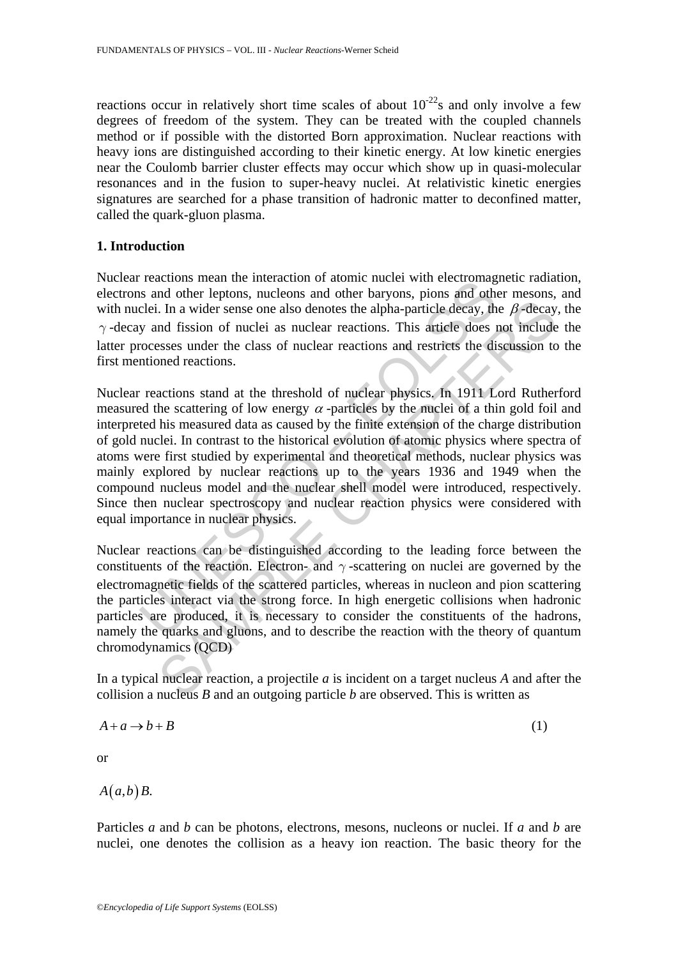reactions occur in relatively short time scales of about  $10^{-22}$ s and only involve a few degrees of freedom of the system. They can be treated with the coupled channels method or if possible with the distorted Born approximation. Nuclear reactions with heavy ions are distinguished according to their kinetic energy. At low kinetic energies near the Coulomb barrier cluster effects may occur which show up in quasi-molecular resonances and in the fusion to super-heavy nuclei. At relativistic kinetic energies signatures are searched for a phase transition of hadronic matter to deconfined matter, called the quark-gluon plasma.

# **1. Introduction**

Nuclear reactions mean the interaction of atomic nuclei with electromagnetic radiation, electrons and other leptons, nucleons and other baryons, pions and other mesons, and with nuclei. In a wider sense one also denotes the alpha-particle decay, the  $\beta$ -decay, the *γ* -decay and fission of nuclei as nuclear reactions. This article does not include the latter processes under the class of nuclear reactions and restricts the discussion to the first mentioned reactions.

Feactures mean the metaculor of adomination and other bring encellingts and other leptons, nucleons and other baryons, pions and other leptons, nucleons and other baryons, pions and other leed in a wider sense one also de I. In a wider sense one also denotes the alpha-particle decay, the  $\beta$ -decay<br>and fission of nuclei as nuclear reactions. This article decay, the  $\beta$ -decay<br>and fission of nuclei as nuclear reactions and restricts the dis Nuclear reactions stand at the threshold of nuclear physics. In 1911 Lord Rutherford measured the scattering of low energy  $\alpha$ -particles by the nuclei of a thin gold foil and interpreted his measured data as caused by the finite extension of the charge distribution of gold nuclei. In contrast to the historical evolution of atomic physics where spectra of atoms were first studied by experimental and theoretical methods, nuclear physics was mainly explored by nuclear reactions up to the years 1936 and 1949 when the compound nucleus model and the nuclear shell model were introduced, respectively. Since then nuclear spectroscopy and nuclear reaction physics were considered with equal importance in nuclear physics.

Nuclear reactions can be distinguished according to the leading force between the constituents of the reaction. Electron- and  $\gamma$ -scattering on nuclei are governed by the electromagnetic fields of the scattered particles, whereas in nucleon and pion scattering the particles interact via the strong force. In high energetic collisions when hadronic particles are produced, it is necessary to consider the constituents of the hadrons, namely the quarks and gluons, and to describe the reaction with the theory of quantum chromodynamics (QCD)

In a typical nuclear reaction, a projectile *a* is incident on a target nucleus *A* and after the collision a nucleus *B* and an outgoing particle *b* are observed. This is written as

$$
A + a \to b + B \tag{1}
$$

or

 $A(a,b)B$ .

Particles *a* and *b* can be photons, electrons, mesons, nucleons or nuclei. If *a* and *b* are nuclei, one denotes the collision as a heavy ion reaction. The basic theory for the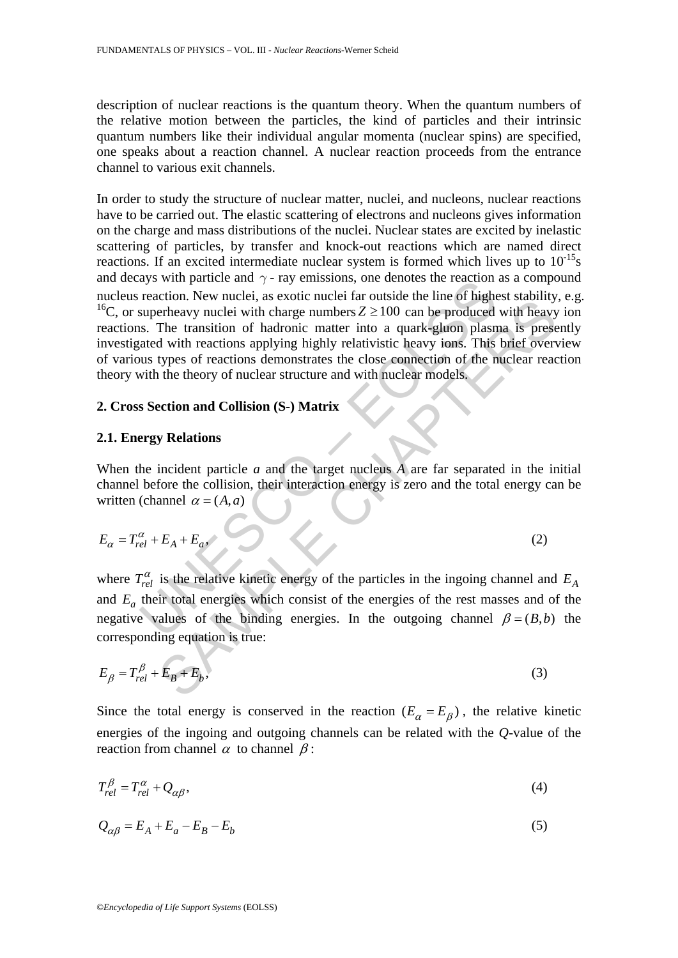description of nuclear reactions is the quantum theory. When the quantum numbers of the relative motion between the particles, the kind of particles and their intrinsic quantum numbers like their individual angular momenta (nuclear spins) are specified, one speaks about a reaction channel. A nuclear reaction proceeds from the entrance channel to various exit channels.

ays will particle and  $\gamma$ -1ay emissions, one denotes the reaction<br>reaction. New nuclei, as exotic nuclei with the complement is one is produced<br>superheavy nuclei with charge numbers  $Z \ge 100$  can be produced<br>as. The tran Eventually, the matter, as colorinate random and other and other the distant and the tender of the tender of the tender of the tender of the tender of the tender of the tender of the tender of the tender of the tender of In order to study the structure of nuclear matter, nuclei, and nucleons, nuclear reactions have to be carried out. The elastic scattering of electrons and nucleons gives information on the charge and mass distributions of the nuclei. Nuclear states are excited by inelastic scattering of particles, by transfer and knock-out reactions which are named direct reactions. If an excited intermediate nuclear system is formed which lives up to  $10^{-15}$ s and decays with particle and  $\gamma$  - ray emissions, one denotes the reaction as a compound nucleus reaction. New nuclei, as exotic nuclei far outside the line of highest stability, e.g. <sup>16</sup>C, or superheavy nuclei with charge numbers  $Z \ge 100$  can be produced with heavy ion reactions. The transition of hadronic matter into a quark-gluon plasma is presently investigated with reactions applying highly relativistic heavy ions. This brief overview of various types of reactions demonstrates the close connection of the nuclear reaction theory with the theory of nuclear structure and with nuclear models.

## **2. Cross Section and Collision (S-) Matrix**

### **2.1. Energy Relations**

When the incident particle *a* and the target nucleus *A* are far separated in the initial channel before the collision, their interaction energy is zero and the total energy can be written (channel  $\alpha = (A, a)$ 

$$
E_{\alpha} = T_{rel}^{\alpha} + E_A + E_a, \tag{2}
$$

where  $T_{rel}^{\alpha}$  is the relative kinetic energy of the particles in the ingoing channel and  $E_A$ and  $E_a$  their total energies which consist of the energies of the rest masses and of the negative values of the binding energies. In the outgoing channel  $\beta = (B, b)$  the corresponding equation is true:

$$
E_{\beta} = T_{rel}^{\beta} + E_B + E_b,\tag{3}
$$

Since the total energy is conserved in the reaction  $(E_{\alpha} = E_{\beta})$ , the relative kinetic energies of the ingoing and outgoing channels can be related with the *Q*-value of the reaction from channel  $\alpha$  to channel  $\beta$ :

$$
T_{rel}^{\beta} = T_{rel}^{\alpha} + Q_{\alpha\beta},\tag{4}
$$

$$
Q_{\alpha\beta} = E_A + E_a - E_B - E_b \tag{5}
$$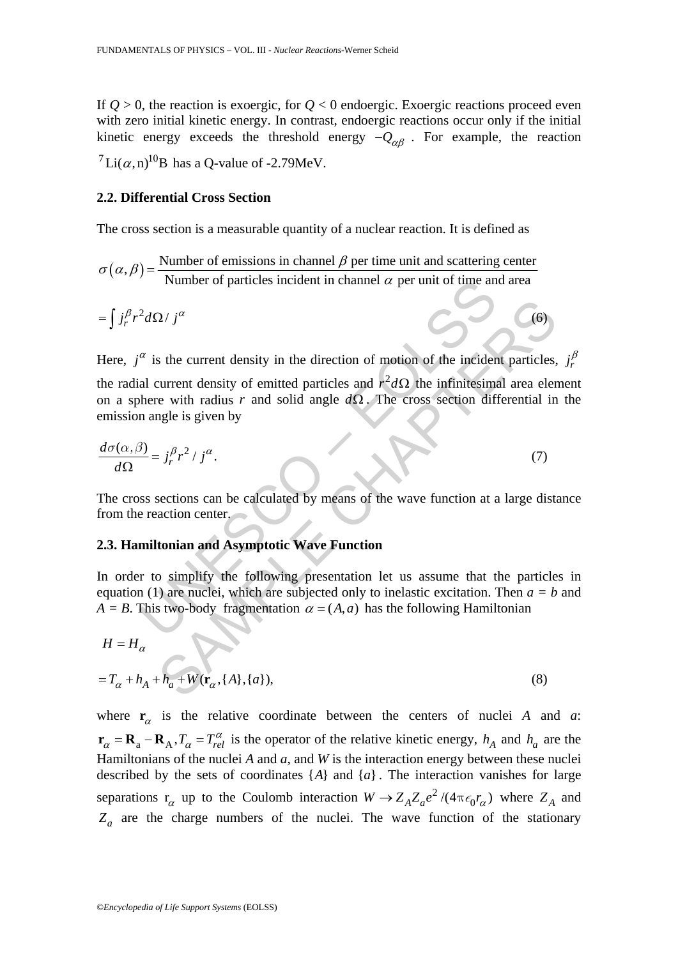If  $Q > 0$ , the reaction is exoergic, for  $Q < 0$  endoergic. Exoergic reactions proceed even with zero initial kinetic energy. In contrast, endoergic reactions occur only if the initial kinetic energy exceeds the threshold energy  $-Q_{\alpha\beta}$ . For example, the reaction <sup>7</sup>Li( $\alpha$ ,n)<sup>10</sup>B has a O-value of -2.79MeV.

### **2.2. Differential Cross Section**

The cross section is a measurable quantity of a nuclear reaction. It is defined as

 $\sigma(\alpha, \beta) = \frac{\text{Number of emissions in channel } \beta \text{ per time unit and scattering center}}{\text{Number of particles incident in channel } \alpha \text{ per unit of time and area}}$ 

$$
= \int j_r^{\beta} r^2 d\Omega / j^{\alpha} \tag{6}
$$

Number of particles incident in channel  $\alpha$  per unit of time an<br>  ${}^2d\Omega / j^{\alpha}$ <br>  ${}^{\alpha}$  is the current density in the direction of motion of the incident<br>
al current density of emitted particles and  $r^2d\Omega$  the infinit 2/j<sup>a</sup><br>
Set be current density in the direction of motion of the incident particles,<br>
survent density of emitted particles and  $r^2 d\Omega$  the infinitesimal area eler<br>
evith radius r and solid angle  $d\Omega$ . The cross section Here,  $j^{\alpha}$  is the current density in the direction of motion of the incident particles,  $j^{\beta}$ the radial current density of emitted particles and  $r^2 d\Omega$  the infinitesimal area element on a sphere with radius *r* and solid angle *d*Ω . The cross section differential in the emission angle is given by

$$
\frac{d\sigma(\alpha,\beta)}{d\Omega} = j_r^{\beta} r^2 / j^{\alpha}.
$$
 (7)

The cross sections can be calculated by means of the wave function at a large distance from the reaction center.

# **2.3. Hamiltonian and Asymptotic Wave Function**

In order to simplify the following presentation let us assume that the particles in equation (1) are nuclei, which are subjected only to inelastic excitation. Then  $a = b$  and  $A = B$ . This two-body fragmentation  $\alpha = (A, a)$  has the following Hamiltonian

$$
H = H_{\alpha}
$$

$$
=T_{\alpha}+h_{A}+h_{a}+W(\mathbf{r}_{\alpha},\{A\},\{a\}),
$$
\n(8)

where  $\mathbf{r}_{\alpha}$  is the relative coordinate between the centers of nuclei *A* and *a*:  $\mathbf{r}_{\alpha} = \mathbf{R}_{\text{A}} - \mathbf{R}_{\text{A}}$ ,  $T_{\alpha} = T_{rel}^{\alpha}$  is the operator of the relative kinetic energy,  $h_A$  and  $h_a$  are the Hamiltonians of the nuclei *A* and *a*, and *W* is the interaction energy between these nuclei described by the sets of coordinates  $\{A\}$  and  $\{a\}$ . The interaction vanishes for large separations  $r_{\alpha}$  up to the Coulomb interaction  $W \to Z_A Z_a e^2 / (4\pi \epsilon_0 r_{\alpha})$  where  $Z_A$  and  $Z_a$  are the charge numbers of the nuclei. The wave function of the stationary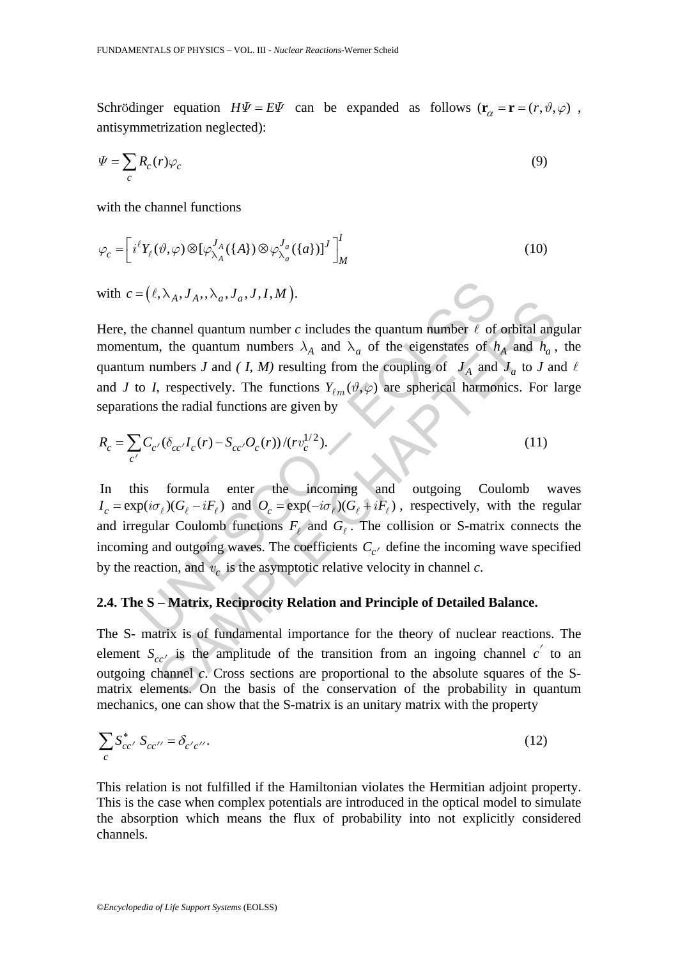Schrödinger equation  $H\Psi = E\Psi$  can be expanded as follows  $(\mathbf{r}_{\alpha} = \mathbf{r} = (r, \vartheta, \varphi))$ , antisymmetrization neglected):

$$
\Psi = \sum_{c} R_c(r) \varphi_c \tag{9}
$$

with the channel functions

$$
\varphi_c = \left[ i^{\ell} Y_{\ell}(\vartheta, \varphi) \otimes [\varphi_{\lambda_A}^{J_A}(\{A\}) \otimes \varphi_{\lambda_a}^{J_a}(\{a\})]^J \right]_M^I
$$
\n(10)

with  $c = (\ell, \lambda_A, J_A, , \lambda_A, J_A, J_A, J_A, M).$ 

 $\epsilon$  ( $\ell, \lambda_A, J_A, \lambda_a, J_a, J, I, M$ ).<br>
we channel quantum number c includes the quantum number  $\ell$  of<br>
tum, the quantum numbers  $\lambda_A$  and  $\lambda_a$  of the eigenstates of  $h$ <br>
n numbers  $J$  and  $(I, M)$  resulting from the coupling o  $\kappa$ - $\lambda$ - $\kappa$ - $\lambda$ - $\kappa$ - $\lambda$ - $\kappa$ - $\lambda$ - $\lambda$ - $\lambda$  and  $\lambda_a$  of the eigenstates of  $h_A$  and  $h_a$ ,<br>
the quantum numbers  $\lambda_A$  and  $\lambda_a$  of the eigenstates of  $h_A$  and  $h_a$ ,<br>
umbers  $J$  and  $(J, M)$  resulting from the coup Here, the channel quantum number *c* includes the quantum number  $\ell$  of orbital angular momentum, the quantum numbers  $\lambda_A$  and  $\lambda_a$  of the eigenstates of  $h_A$  and  $h_a$ , the quantum numbers *J* and *(I, M)* resulting from the coupling of  $J_A$  and  $J_a$  to *J* and  $\ell$ and *J* to *I*, respectively. The functions  $Y_{\ell m}(\vartheta, \varphi)$  are spherical harmonics. For large separations the radial functions are given by

$$
R_c = \sum_{c'} C_{c'} (\delta_{cc'} I_c(r) - S_{cc'} O_c(r)) / (r v_c^{1/2}).
$$
\n(11)

In this formula enter the incoming and outgoing Coulomb waves  $I_c = \exp(i\sigma_\ell)(G_\ell - iF_\ell)$  and  $O_c = \exp(-i\sigma_\ell)(G_\ell + iF_\ell)$ , respectively, with the regular and irregular Coulomb functions  $F_\ell$  and  $G_\ell$ . The collision or S-matrix connects the incoming and outgoing waves. The coefficients  $C_{c'}$  define the incoming wave specified by the reaction, and  $v_c$  is the asymptotic relative velocity in channel  $c$ .

# **2.4. The S – Matrix, Reciprocity Relation and Principle of Detailed Balance.**

The S- matrix is of fundamental importance for the theory of nuclear reactions. The element  $S_{cc}$  is the amplitude of the transition from an ingoing channel  $c'$  to an outgoing channel *c*. Cross sections are proportional to the absolute squares of the Smatrix elements. On the basis of the conservation of the probability in quantum mechanics, one can show that the S-matrix is an unitary matrix with the property

$$
\sum_{c} S_{cc'}^{*} S_{cc''} = \delta_{c'c''}. \tag{12}
$$

This relation is not fulfilled if the Hamiltonian violates the Hermitian adjoint property. This is the case when complex potentials are introduced in the optical model to simulate the absorption which means the flux of probability into not explicitly considered channels.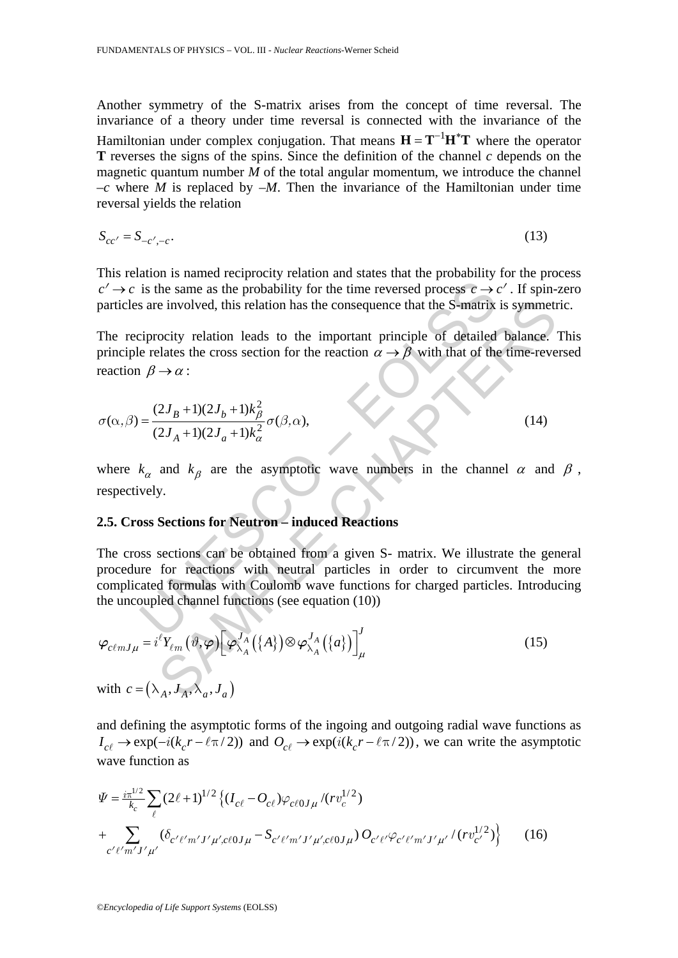Another symmetry of the S-matrix arises from the concept of time reversal. The invariance of a theory under time reversal is connected with the invariance of the Hamiltonian under complex conjugation. That means  $H = T^{-1}H^*T$  where the operator **T** reverses the signs of the spins. Since the definition of the channel *c* depends on the magnetic quantum number *M* of the total angular momentum, we introduce the channel  $-c$  where *M* is replaced by  $-M$ . Then the invariance of the Hamiltonian under time reversal yields the relation

$$
S_{cc'} = S_{-c', -c}.\tag{13}
$$

This relation is named reciprocity relation and states that the probability for the process  $c' \rightarrow c$  is the same as the probability for the time reversed process  $c \rightarrow c'$ . If spin-zero particles are involved, this relation has the consequence that the S-matrix is symmetric.

The reciprocity relation leads to the important principle of detailed balance. This principle relates the cross section for the reaction  $\alpha \rightarrow \beta$  with that of the time-reversed reaction  $\beta \rightarrow \alpha$ :

$$
\sigma(\alpha, \beta) = \frac{(2J_B + 1)(2J_b + 1)k_{\beta}^2}{(2J_A + 1)(2J_a + 1)k_{\alpha}^2} \sigma(\beta, \alpha),
$$
\n(14)

where  $k_{\alpha}$  and  $k_{\beta}$  are the asymptotic wave numbers in the channel  $\alpha$  and  $\beta$ , respectively.

# **2.5. Cross Sections for Neutron – induced Reactions**

is the same as the probability for the time reversed process  $c \rightarrow s$  are involved, this relation has the consequence that the S-matrix<br>
:iprocity relation leads to the important principle of detailed<br>
relates the cross sec The cross sections can be obtained from a given S- matrix. We illustrate the general procedure for reactions with neutral particles in order to circumvent the more complicated formulas with Coulomb wave functions for charged particles. Introducing the uncoupled channel functions (see equation (10))

particles are involved, this relation has the consequence that the S-matrix is symmetric.  
\nThe reciprocity relation leads to the important principle of detailed balance.  
\nprinciple relates the cross section for the reaction 
$$
\alpha \rightarrow \beta
$$
 with that of the time-reve  
\nreaction  $\beta \rightarrow \alpha$ :  
\n
$$
\sigma(\alpha,\beta) = \frac{(2J_B+1)(2J_b+1)k_\beta^2}{(2J_A+1)(2J_a+1)k_\alpha^2} \sigma(\beta,\alpha),
$$
\n(14)  
\nwhere  $k_\alpha$  and  $k_\beta$  are the asymptotic wave numbers in the channel  $\alpha$  and  
\nrespectively.  
\n2.5. Cross Sections for Neutron – induced Reactions  
\nThe cross sections can be obtained from a given S- matrix. We illustrate the ger  
\nprocedure for reactions with neutral particles in order to circumvent the n  
\ncomplicated formulas with Coulomb wave functions for charged particles. Introdu-  
\nthe uncoupled channel functions (see equation (10))  
\n
$$
\varphi_{c\ell mJ\mu} = i^{\ell} Y_{\ell m}(\vartheta,\varphi) \left[\varphi_{\lambda_A}^{J_A}(\{A\})\otimes\varphi_{\lambda_A}^{J_A}(\{a\})\right]_{\mu}^{J}
$$
\n(15)  
\nwith  $c = (\lambda_A, J_A, \lambda_\alpha, J_\alpha)$ 

and defining the asymptotic forms of the ingoing and outgoing radial wave functions as  $I_{c\ell} \to \exp(-i(k_c r - \ell \pi/2))$  and  $O_{c\ell} \to \exp(i(k_c r - \ell \pi/2))$ , we can write the asymptotic wave function as

$$
\Psi = \frac{i\pi^{1/2}}{k_c} \sum_{\ell} (2\ell + 1)^{1/2} \left\{ (I_{c\ell} - O_{c\ell}) \varphi_{c\ell 0J\mu} / (rv_c^{1/2}) \right\} \n+ \sum_{c'\ell'm'J'\mu'} (\delta_{c'\ell'm'J'\mu',c\ell 0J\mu} - S_{c'\ell'm'J'\mu',c\ell 0J\mu}) O_{c'\ell'} \varphi_{c'\ell'm'J'\mu'} / (rv_{c'}^{1/2}) \right\}
$$
(16)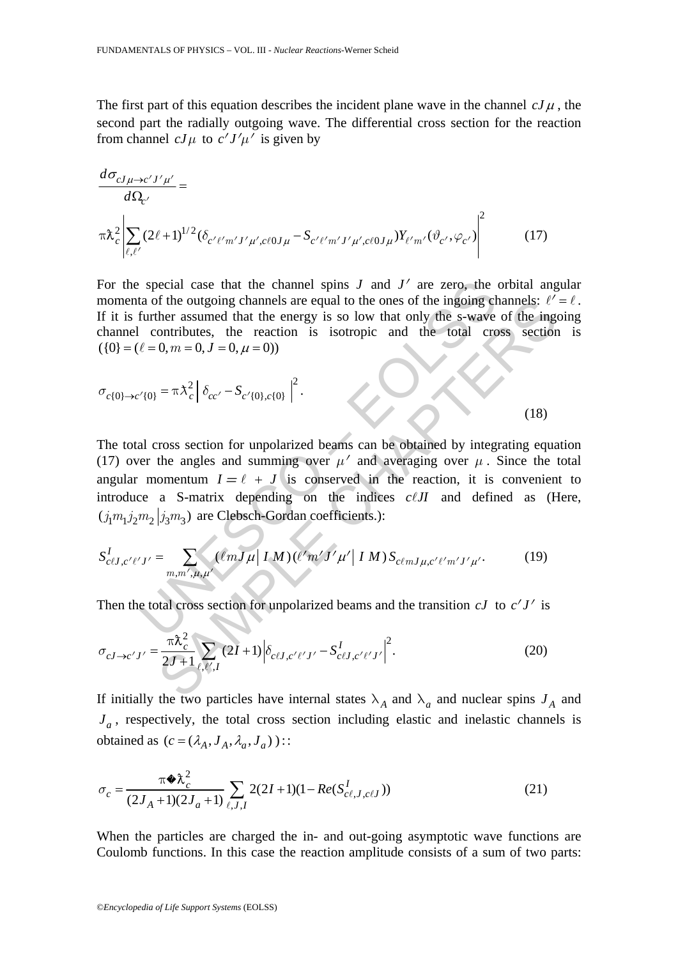The first part of this equation describes the incident plane wave in the channel  $cJ\mu$ , the second part the radially outgoing wave. The differential cross section for the reaction from channel  $cJ\mu$  to  $c'J'\mu'$  is given by

$$
\frac{d\sigma_{cJ\mu\to c'J'\mu'}}{d\Omega_{c'}}
$$
\n
$$
\pi \lambda_c^2 \left| \sum_{\ell,\ell'} (2\ell+1)^{1/2} (\delta_{c'\ell'm'J'\mu',c\ell 0J\mu} - S_{c'\ell'm'J'\mu',c\ell 0J\mu}) Y_{\ell'm'} (\vartheta_{c'},\varphi_{c'}) \right|^2
$$
\n(17)

For the special case that the channel spins  $J$  and  $J'$  are zero, the orbital angular momenta of the outgoing channels are equal to the ones of the ingoing channels:  $\ell' = \ell$ . If it is further assumed that the energy is so low that only the s-wave of the ingoing channel contributes, the reaction is isotropic and the total cross section is  $({0} = (\ell = 0, m = 0, J = 0, \mu = 0))$ 

$$
\sigma_{c\{0\}\to c'\{0\}} = \pi \lambda_c^2 \left| \delta_{cc'} - S_{c'\{0\},c\{0\}} \right|^2.
$$
 (18)

special case that the channel spins *J* and *J'* are zero, the<br>ta of the outgoing channels are equal to the ones of the ingoing charmet that the energy is so low that only the s-wave<br>contributes, the reaction is isotropic of the outgoing channels are equal to the ones of the ingoing channels:  $\ell'$ <br>the r assumed that the energy is so low that only the s-wave of the ingo<br>ontributes, the reaction is isotropic and the total cross section<br> $0, m$ The total cross section for unpolarized beams can be obtained by integrating equation (17) over the angles and summing over  $\mu'$  and averaging over  $\mu$ . Since the total angular momentum  $I = \ell + J$  is conserved in the reaction, it is convenient to introduce a S-matrix depending on the indices  $c \ell J I$  and defined as (Here,  $(i_1 m_1 j_2 m_2 | j_3 m_3)$  are Clebsch-Gordan coefficients.):

$$
S_{c\ell J, c'\ell' J'}^I = \sum_{m,m',\mu,\mu'} (\ell m J \mu | I M) (\ell' m' J' \mu' | I M) S_{c\ell m J \mu, c'\ell' m' J' \mu'}.
$$
 (19)

Then the total cross section for unpolarized beams and the transition  $cJ$  to  $c'J'$  is

$$
\sigma_{cJ \to c'J'} = \frac{\pi \lambda_c^2}{2J + 1} \sum_{\ell, \ell', I} (2I + 1) \left| \delta_{c\ell J, c'\ell'J'} - S_{c\ell J, c'\ell'J'}^I \right|^2.
$$
 (20)

If initially the two particles have internal states  $\lambda_A$  and  $\lambda_a$  and nuclear spins  $J_A$  and  $J_a$ , respectively, the total cross section including elastic and inelastic channels is obtained as  $(c = (\lambda_A, J_A, \lambda_a, J_a))$  ::

$$
\sigma_c = \frac{\pi \Phi \lambda_c^2}{(2J_A + 1)(2J_a + 1)} \sum_{\ell, J, I} 2(2I + 1)(1 - Re(S_{c\ell, J, c\ell J}^I))
$$
(21)

When the particles are charged the in- and out-going asymptotic wave functions are Coulomb functions. In this case the reaction amplitude consists of a sum of two parts: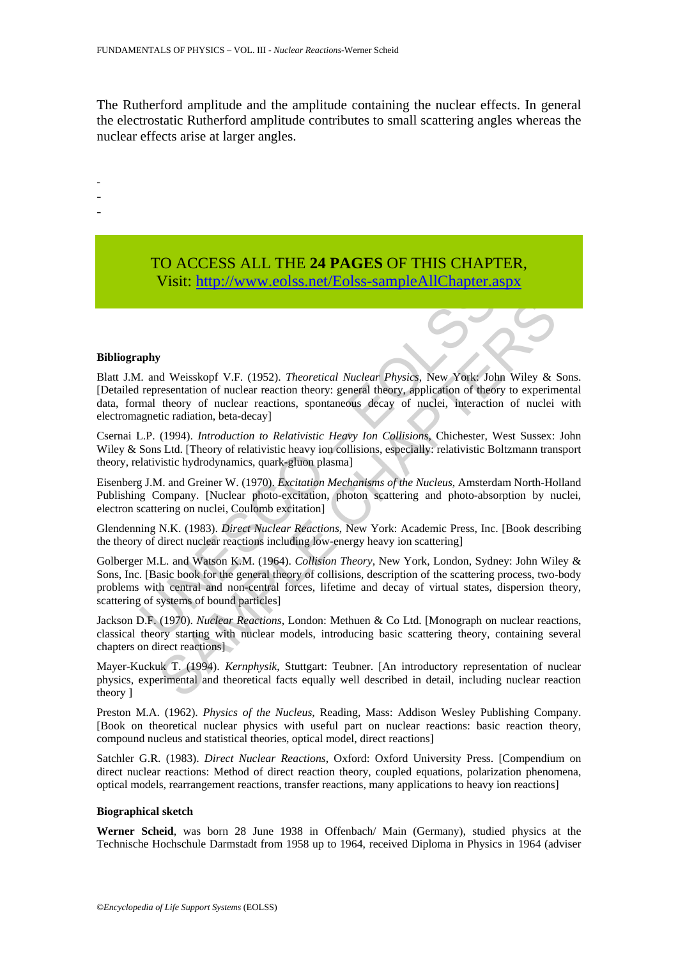The Rutherford amplitude and the amplitude containing the nuclear effects. In general the electrostatic Rutherford amplitude contributes to small scattering angles whereas the nuclear effects arise at larger angles.

- -
- -
- -
- TO ACCESS ALL THE **24 PAGES** OF THIS CHAPTER, Visit: http://www.eolss.net/Eolss-sampleAllChapter.aspx

#### **Bibliography**

V1811: http://www.eolss.net/Eolss-sampleAllChapter.a<br>
http://www.eolss.net/Eolss-sampleAllChapter.a<br>
tend Weisskopf V.F. (1952). Theoretical Nuclear Physics, New York<sup>1</sup> Joh<br>
representation of unclear reaction theory: gene **SET ALTERATIFY**<br> **SAMPLE CONDOM CONTEXT (1952).** Theoretical Nuclear Physics, New York: John Wiley & resentation of nuclear reaction theory: general theory, application of theory to experiment<br>
tic radiation, beta-decayl<br> Blatt J.M. and Weisskopf V.F. (1952). *Theoretical Nuclear Physics*, New York: John Wiley & Sons. [Detailed representation of nuclear reaction theory: general theory, application of theory to experimental data, formal theory of nuclear reactions, spontaneous decay of nuclei, interaction of nuclei with electromagnetic radiation, beta-decay]

Csernai L.P. (1994). *Introduction to Relativistic Heavy Ion Collisions*, Chichester, West Sussex: John Wiley & Sons Ltd. [Theory of relativistic heavy ion collisions, especially: relativistic Boltzmann transport theory, relativistic hydrodynamics, quark-gluon plasma]

Eisenberg J.M. and Greiner W. (1970). *Excitation Mechanisms of the Nucleus*, Amsterdam North-Holland Publishing Company. [Nuclear photo-excitation, photon scattering and photo-absorption by nuclei, electron scattering on nuclei, Coulomb excitation]

Glendenning N.K. (1983). *Direct Nuclear Reactions*, New York: Academic Press, Inc. [Book describing the theory of direct nuclear reactions including low-energy heavy ion scattering]

Golberger M.L. and Watson K.M. (1964). *Collision Theory*, New York, London, Sydney: John Wiley & Sons, Inc. [Basic book for the general theory of collisions, description of the scattering process, two-body problems with central and non-central forces, lifetime and decay of virtual states, dispersion theory, scattering of systems of bound particles]

Jackson D.F. (1970). *Nuclear Reactions*, London: Methuen & Co Ltd. [Monograph on nuclear reactions, classical theory starting with nuclear models, introducing basic scattering theory, containing several chapters on direct reactions]

Mayer-Kuckuk T. (1994). *Kernphysik*, Stuttgart: Teubner. [An introductory representation of nuclear physics, experimental and theoretical facts equally well described in detail, including nuclear reaction theory ]

Preston M.A. (1962). *Physics of the Nucleus*, Reading, Mass: Addison Wesley Publishing Company. [Book on theoretical nuclear physics with useful part on nuclear reactions: basic reaction theory, compound nucleus and statistical theories, optical model, direct reactions]

Satchler G.R. (1983). *Direct Nuclear Reactions*, Oxford: Oxford University Press. [Compendium on direct nuclear reactions: Method of direct reaction theory, coupled equations, polarization phenomena, optical models, rearrangement reactions, transfer reactions, many applications to heavy ion reactions]

#### **Biographical sketch**

**Werner Scheid**, was born 28 June 1938 in Offenbach/ Main (Germany), studied physics at the Technische Hochschule Darmstadt from 1958 up to 1964, received Diploma in Physics in 1964 (adviser